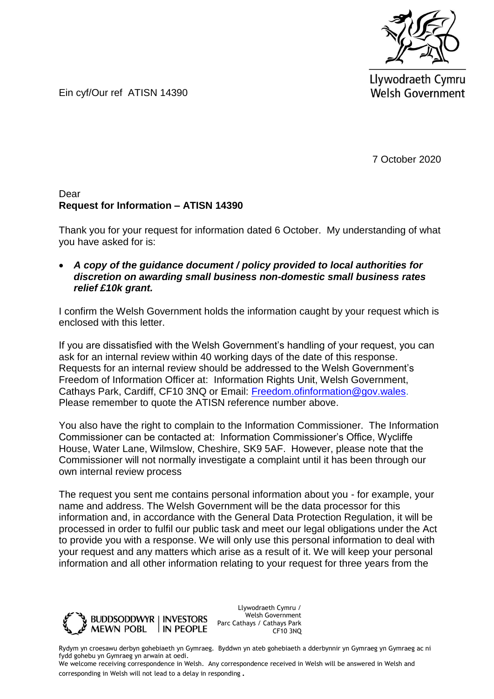

Llywodraeth Cymru **Welsh Government** 

Ein cyf/Our ref ATISN 14390

7 October 2020

#### Dear **Request for Information – ATISN 14390**

Thank you for your request for information dated 6 October. My understanding of what you have asked for is:

 *A copy of the guidance document / policy provided to local authorities for discretion on awarding small business non-domestic small business rates relief £10k grant.*

I confirm the Welsh Government holds the information caught by your request which is enclosed with this letter.

If you are dissatisfied with the Welsh Government's handling of your request, you can ask for an internal review within 40 working days of the date of this response. Requests for an internal review should be addressed to the Welsh Government's Freedom of Information Officer at: Information Rights Unit, Welsh Government, Cathays Park, Cardiff, CF10 3NQ or Email: [Freedom.ofinformation@gov.wales.](mailto:Freedom.ofinformation@gov.wales) Please remember to quote the ATISN reference number above.

You also have the right to complain to the Information Commissioner. The Information Commissioner can be contacted at: Information Commissioner's Office, Wycliffe House, Water Lane, Wilmslow, Cheshire, SK9 5AF. However, please note that the Commissioner will not normally investigate a complaint until it has been through our own internal review process

The request you sent me contains personal information about you - for example, your name and address. The Welsh Government will be the data processor for this information and, in accordance with the General Data Protection Regulation, it will be processed in order to fulfil our public task and meet our legal obligations under the Act to provide you with a response. We will only use this personal information to deal with your request and any matters which arise as a result of it. We will keep your personal information and all other information relating to your request for three years from the



Llywodraeth Cymru / Welsh Government Parc Cathays / Cathays Park CF10 3NQ

Rydym yn croesawu derbyn gohebiaeth yn Gymraeg. Byddwn yn ateb gohebiaeth a dderbynnir yn Gymraeg yn Gymraeg ac ni fydd gohebu yn Gymraeg yn arwain at oedi.

We welcome receiving correspondence in Welsh. Any correspondence received in Welsh will be answered in Welsh and corresponding in Welsh will not lead to a delay in responding.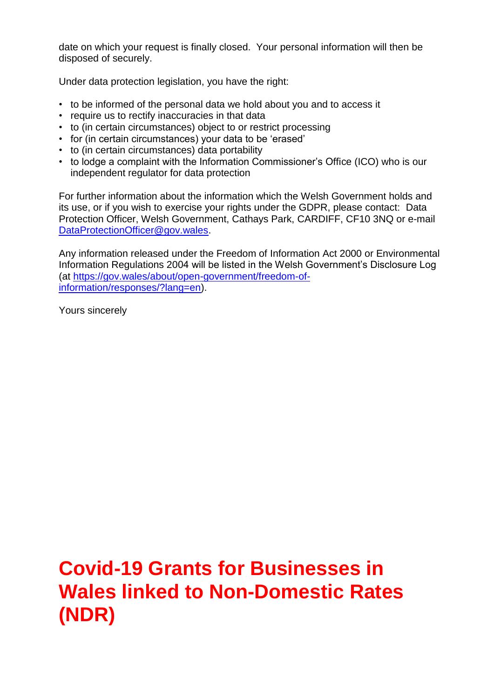date on which your request is finally closed. Your personal information will then be disposed of securely.

Under data protection legislation, you have the right:

- to be informed of the personal data we hold about you and to access it
- require us to rectify inaccuracies in that data
- to (in certain circumstances) object to or restrict processing
- for (in certain circumstances) your data to be 'erased'
- to (in certain circumstances) data portability
- to lodge a complaint with the Information Commissioner's Office (ICO) who is our independent regulator for data protection

For further information about the information which the Welsh Government holds and its use, or if you wish to exercise your rights under the GDPR, please contact: Data Protection Officer, Welsh Government, Cathays Park, CARDIFF, CF10 3NQ or e-mail [DataProtectionOfficer@gov.wales.](mailto:DataProtectionOfficer@gov.wales)

Any information released under the Freedom of Information Act 2000 or Environmental Information Regulations 2004 will be listed in the Welsh Government's Disclosure Log (at [https://gov.wales/about/open-government/freedom-of](https://gov.wales/about/open-government/freedom-of-information/responses/?lang=en)[information/responses/?lang=en\)](https://gov.wales/about/open-government/freedom-of-information/responses/?lang=en).

Yours sincerely

# **Covid-19 Grants for Businesses in Wales linked to Non-Domestic Rates (NDR)**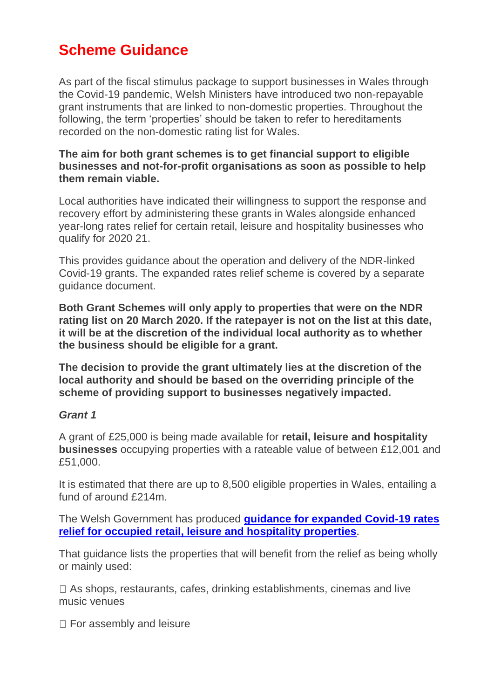## **Scheme Guidance**

As part of the fiscal stimulus package to support businesses in Wales through the Covid-19 pandemic, Welsh Ministers have introduced two non-repayable grant instruments that are linked to non-domestic properties. Throughout the following, the term 'properties' should be taken to refer to hereditaments recorded on the non-domestic rating list for Wales.

#### **The aim for both grant schemes is to get financial support to eligible businesses and not-for-profit organisations as soon as possible to help them remain viable.**

Local authorities have indicated their willingness to support the response and recovery effort by administering these grants in Wales alongside enhanced year-long rates relief for certain retail, leisure and hospitality businesses who qualify for 2020 21.

This provides guidance about the operation and delivery of the NDR-linked Covid-19 grants. The expanded rates relief scheme is covered by a separate guidance document.

**Both Grant Schemes will only apply to properties that were on the NDR rating list on 20 March 2020. If the ratepayer is not on the list at this date, it will be at the discretion of the individual local authority as to whether the business should be eligible for a grant.** 

**The decision to provide the grant ultimately lies at the discretion of the local authority and should be based on the overriding principle of the scheme of providing support to businesses negatively impacted.** 

#### *Grant 1*

A grant of £25,000 is being made available for **retail, leisure and hospitality businesses** occupying properties with a rateable value of between £12,001 and £51,000.

It is estimated that there are up to 8,500 eligible properties in Wales, entailing a fund of around £214m.

The Welsh Government has produced **[guidance for expanded Covid-19 rates](https://businesswales.gov.wales/sites/business-wales/files/MA-RE-0992-20%20-%20Retail%2C%20Leisure%20and%20Hospitality%20Rates%20Relief%20Scheme%202020-21%20-%20Guidance%2C%20Grant%20Acceptance%20and%20Offer%20for%20Local%20Authorities%20-%20Doc%201%20Guidance%20%28E%29_1%20%282%29.pdf)  [relief for occupied retail, leisure and hospitality properties](https://businesswales.gov.wales/sites/business-wales/files/MA-RE-0992-20%20-%20Retail%2C%20Leisure%20and%20Hospitality%20Rates%20Relief%20Scheme%202020-21%20-%20Guidance%2C%20Grant%20Acceptance%20and%20Offer%20for%20Local%20Authorities%20-%20Doc%201%20Guidance%20%28E%29_1%20%282%29.pdf)**.

That guidance lists the properties that will benefit from the relief as being wholly or mainly used:

□ As shops, restaurants, cafes, drinking establishments, cinemas and live music venues

□ For assembly and leisure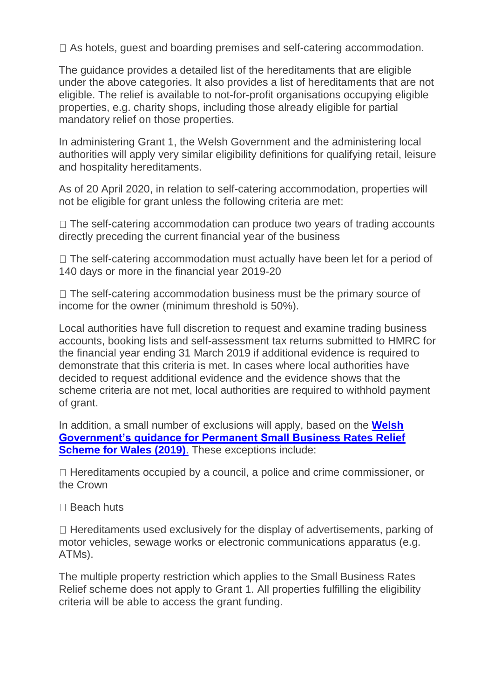□ As hotels, guest and boarding premises and self-catering accommodation.

The guidance provides a detailed list of the hereditaments that are eligible under the above categories. It also provides a list of hereditaments that are not eligible. The relief is available to not-for-profit organisations occupying eligible properties, e.g. charity shops, including those already eligible for partial mandatory relief on those properties.

In administering Grant 1, the Welsh Government and the administering local authorities will apply very similar eligibility definitions for qualifying retail, leisure and hospitality hereditaments.

As of 20 April 2020, in relation to self-catering accommodation, properties will not be eligible for grant unless the following criteria are met:

 $\Box$  The self-catering accommodation can produce two years of trading accounts directly preceding the current financial year of the business

 $\Box$  The self-catering accommodation must actually have been let for a period of 140 days or more in the financial year 2019-20

 $\Box$  The self-catering accommodation business must be the primary source of income for the owner (minimum threshold is 50%).

Local authorities have full discretion to request and examine trading business accounts, booking lists and self-assessment tax returns submitted to HMRC for the financial year ending 31 March 2019 if additional evidence is required to demonstrate that this criteria is met. In cases where local authorities have decided to request additional evidence and the evidence shows that the scheme criteria are not met, local authorities are required to withhold payment of grant.

In addition, a small number of exclusions will apply, based on the **[Welsh](https://businesswales.gov.wales/sites/business-wales/files/SBRR%20-%202019%20-%20Guidance%202019%20%28ENG%29%20-%20Update%2009-2019%20FINAL%20DESIGN.pdf)  [Government's guidance for Permanent Small Business Rates Relief](https://businesswales.gov.wales/sites/business-wales/files/SBRR%20-%202019%20-%20Guidance%202019%20%28ENG%29%20-%20Update%2009-2019%20FINAL%20DESIGN.pdf)  [Scheme for Wales \(2019\)](https://businesswales.gov.wales/sites/business-wales/files/SBRR%20-%202019%20-%20Guidance%202019%20%28ENG%29%20-%20Update%2009-2019%20FINAL%20DESIGN.pdf)**. These exceptions include:

 $\Box$  Hereditaments occupied by a council, a police and crime commissioner, or the Crown

□ Beach huts

 $\Box$  Hereditaments used exclusively for the display of advertisements, parking of motor vehicles, sewage works or electronic communications apparatus (e.g. ATMs).

The multiple property restriction which applies to the Small Business Rates Relief scheme does not apply to Grant 1. All properties fulfilling the eligibility criteria will be able to access the grant funding.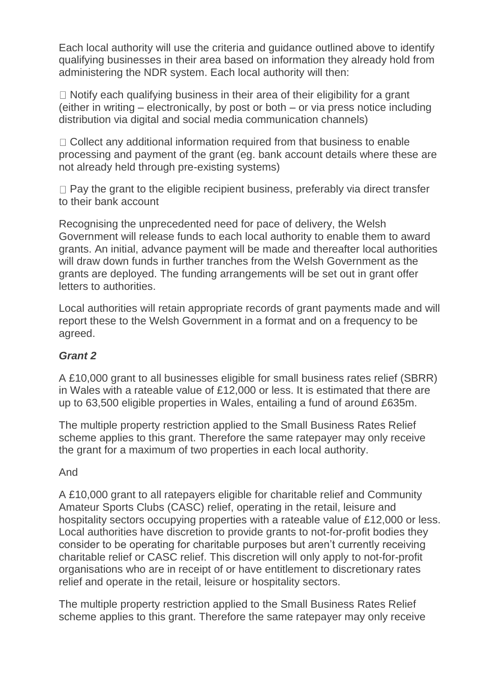Each local authority will use the criteria and guidance outlined above to identify qualifying businesses in their area based on information they already hold from administering the NDR system. Each local authority will then:

 $\Box$  Notify each qualifying business in their area of their eligibility for a grant (either in writing – electronically, by post or both – or via press notice including distribution via digital and social media communication channels)

 $\Box$  Collect any additional information required from that business to enable processing and payment of the grant (eg. bank account details where these are not already held through pre-existing systems)

 $\Box$  Pay the grant to the eligible recipient business, preferably via direct transfer to their bank account

Recognising the unprecedented need for pace of delivery, the Welsh Government will release funds to each local authority to enable them to award grants. An initial, advance payment will be made and thereafter local authorities will draw down funds in further tranches from the Welsh Government as the grants are deployed. The funding arrangements will be set out in grant offer letters to authorities.

Local authorities will retain appropriate records of grant payments made and will report these to the Welsh Government in a format and on a frequency to be agreed.

### *Grant 2*

A £10,000 grant to all businesses eligible for small business rates relief (SBRR) in Wales with a rateable value of £12,000 or less. It is estimated that there are up to 63,500 eligible properties in Wales, entailing a fund of around £635m.

The multiple property restriction applied to the Small Business Rates Relief scheme applies to this grant. Therefore the same ratepayer may only receive the grant for a maximum of two properties in each local authority.

#### And

A £10,000 grant to all ratepayers eligible for charitable relief and Community Amateur Sports Clubs (CASC) relief, operating in the retail, leisure and hospitality sectors occupying properties with a rateable value of £12,000 or less. Local authorities have discretion to provide grants to not-for-profit bodies they consider to be operating for charitable purposes but aren't currently receiving charitable relief or CASC relief. This discretion will only apply to not-for-profit organisations who are in receipt of or have entitlement to discretionary rates relief and operate in the retail, leisure or hospitality sectors.

The multiple property restriction applied to the Small Business Rates Relief scheme applies to this grant. Therefore the same ratepayer may only receive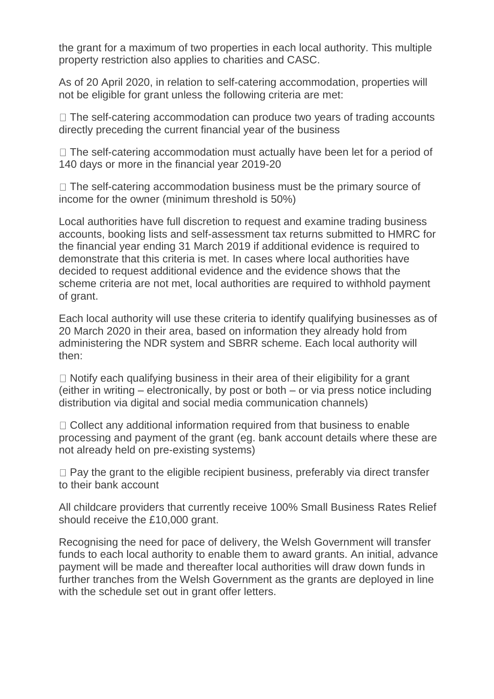the grant for a maximum of two properties in each local authority. This multiple property restriction also applies to charities and CASC.

As of 20 April 2020, in relation to self-catering accommodation, properties will not be eligible for grant unless the following criteria are met:

 $\Box$  The self-catering accommodation can produce two years of trading accounts directly preceding the current financial year of the business

 $\Box$  The self-catering accommodation must actually have been let for a period of 140 days or more in the financial year 2019-20

 $\Box$  The self-catering accommodation business must be the primary source of income for the owner (minimum threshold is 50%)

Local authorities have full discretion to request and examine trading business accounts, booking lists and self-assessment tax returns submitted to HMRC for the financial year ending 31 March 2019 if additional evidence is required to demonstrate that this criteria is met. In cases where local authorities have decided to request additional evidence and the evidence shows that the scheme criteria are not met, local authorities are required to withhold payment of grant.

Each local authority will use these criteria to identify qualifying businesses as of 20 March 2020 in their area, based on information they already hold from administering the NDR system and SBRR scheme. Each local authority will then:

 $\Box$  Notify each qualifying business in their area of their eligibility for a grant (either in writing – electronically, by post or both – or via press notice including distribution via digital and social media communication channels)

 $\Box$  Collect any additional information required from that business to enable processing and payment of the grant (eg. bank account details where these are not already held on pre-existing systems)

 $\Box$  Pay the grant to the eligible recipient business, preferably via direct transfer to their bank account

All childcare providers that currently receive 100% Small Business Rates Relief should receive the £10,000 grant.

Recognising the need for pace of delivery, the Welsh Government will transfer funds to each local authority to enable them to award grants. An initial, advance payment will be made and thereafter local authorities will draw down funds in further tranches from the Welsh Government as the grants are deployed in line with the schedule set out in grant offer letters.